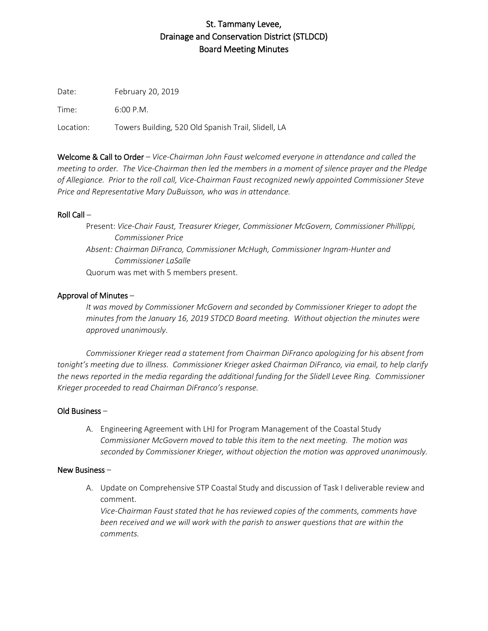# St. Tammany Levee, Drainage and Conservation District (STLDCD) Board Meeting Minutes

Date: February 20, 2019

Time: 6:00 P.M.

Location: Towers Building, 520 Old Spanish Trail, Slidell, LA

Welcome & Call to Order – *Vice-Chairman John Faust welcomed everyone in attendance and called the meeting to order. The Vice-Chairman then led the members in a moment of silence prayer and the Pledge of Allegiance. Prior to the roll call, Vice-Chairman Faust recognized newly appointed Commissioner Steve Price and Representative Mary DuBuisson, who was in attendance.*

### Roll Call –

Present: *Vice-Chair Faust, Treasurer Krieger, Commissioner McGovern, Commissioner Phillippi, Commissioner Price Absent: Chairman DiFranco, Commissioner McHugh, Commissioner Ingram-Hunter and Commissioner LaSalle* Quorum was met with 5 members present.

## Approval of Minutes –

*It was moved by Commissioner McGovern and seconded by Commissioner Krieger to adopt the minutes from the January 16, 2019 STDCD Board meeting. Without objection the minutes were approved unanimously*.

*Commissioner Krieger read a statement from Chairman DiFranco apologizing for his absent from tonight's meeting due to illness. Commissioner Krieger asked Chairman DiFranco, via email, to help clarify the news reported in the media regarding the additional funding for the Slidell Levee Ring. Commissioner Krieger proceeded to read Chairman DiFranco's response.* 

### Old Business –

A. Engineering Agreement with LHJ for Program Management of the Coastal Study *Commissioner McGovern moved to table this item to the next meeting. The motion was seconded by Commissioner Krieger, without objection the motion was approved unanimously.* 

### New Business –

A. Update on Comprehensive STP Coastal Study and discussion of Task I deliverable review and comment.

*Vice-Chairman Faust stated that he has reviewed copies of the comments, comments have been received and we will work with the parish to answer questions that are within the comments.*